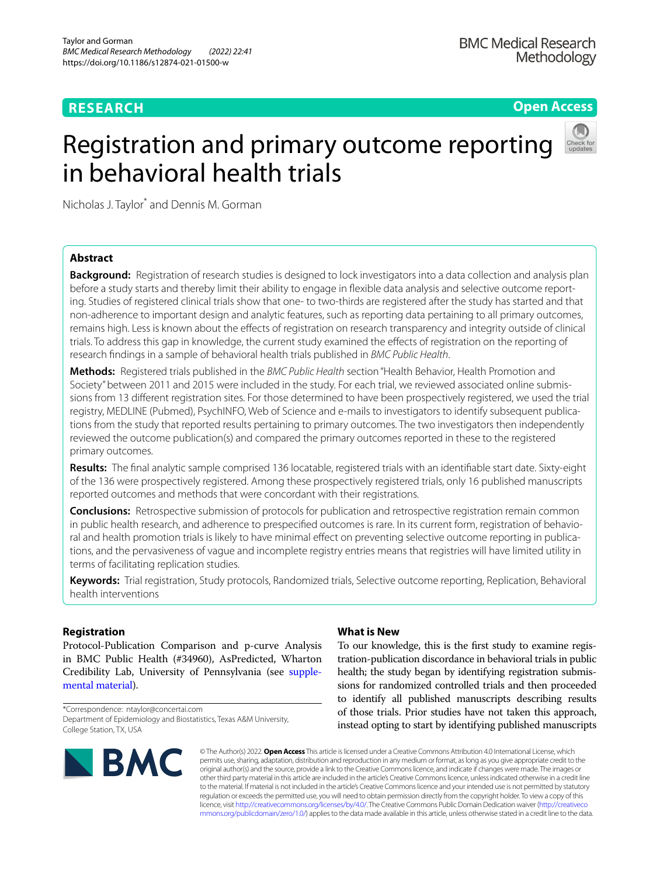### **RESEARCH**

**Open Access**

## Registration and primary outcome reporting in behavioral health trials



Nicholas J. Taylor\* and Dennis M. Gorman

#### **Abstract**

**Background:** Registration of research studies is designed to lock investigators into a data collection and analysis plan before a study starts and thereby limit their ability to engage in fexible data analysis and selective outcome reporting. Studies of registered clinical trials show that one- to two-thirds are registered after the study has started and that non-adherence to important design and analytic features, such as reporting data pertaining to all primary outcomes, remains high. Less is known about the effects of registration on research transparency and integrity outside of clinical trials. To address this gap in knowledge, the current study examined the efects of registration on the reporting of research fndings in a sample of behavioral health trials published in *BMC Public Health*.

**Methods:** Registered trials published in the *BMC Public Health* section "Health Behavior, Health Promotion and Society" between 2011 and 2015 were included in the study. For each trial, we reviewed associated online submissions from 13 diferent registration sites. For those determined to have been prospectively registered, we used the trial registry, MEDLINE (Pubmed), PsychINFO, Web of Science and e-mails to investigators to identify subsequent publications from the study that reported results pertaining to primary outcomes. The two investigators then independently reviewed the outcome publication(s) and compared the primary outcomes reported in these to the registered primary outcomes.

**Results:** The fnal analytic sample comprised 136 locatable, registered trials with an identifable start date. Sixty-eight of the 136 were prospectively registered. Among these prospectively registered trials, only 16 published manuscripts reported outcomes and methods that were concordant with their registrations.

**Conclusions:** Retrospective submission of protocols for publication and retrospective registration remain common in public health research, and adherence to prespecifed outcomes is rare. In its current form, registration of behavioral and health promotion trials is likely to have minimal efect on preventing selective outcome reporting in publications, and the pervasiveness of vague and incomplete registry entries means that registries will have limited utility in terms of facilitating replication studies.

**Keywords:** Trial registration, Study protocols, Randomized trials, Selective outcome reporting, Replication, Behavioral health interventions

#### **Registration**

Protocol-Publication Comparison and p-curve Analysis in BMC Public Health (#34960), AsPredicted, Wharton Credibility Lab, University of Pennsylvania (see [supple](#page-6-0)[mental material\)](#page-6-0).

\*Correspondence: ntaylor@concertai.com Department of Epidemiology and Biostatistics, Texas A&M University, College Station, TX, USA

# **BMC**

#### **What is New**

To our knowledge, this is the frst study to examine registration-publication discordance in behavioral trials in public health; the study began by identifying registration submissions for randomized controlled trials and then proceeded to identify all published manuscripts describing results of those trials. Prior studies have not taken this approach, instead opting to start by identifying published manuscripts

© The Author(s) 2022. **Open Access** This article is licensed under a Creative Commons Attribution 4.0 International License, which permits use, sharing, adaptation, distribution and reproduction in any medium or format, as long as you give appropriate credit to the original author(s) and the source, provide a link to the Creative Commons licence, and indicate if changes were made. The images or other third party material in this article are included in the article's Creative Commons licence, unless indicated otherwise in a credit line to the material. If material is not included in the article's Creative Commons licence and your intended use is not permitted by statutory regulation or exceeds the permitted use, you will need to obtain permission directly from the copyright holder. To view a copy of this licence, visit [http://creativecommons.org/licenses/by/4.0/.](http://creativecommons.org/licenses/by/4.0/) The Creative Commons Public Domain Dedication waiver ([http://creativeco](http://creativecommons.org/publicdomain/zero/1.0/) [mmons.org/publicdomain/zero/1.0/](http://creativecommons.org/publicdomain/zero/1.0/)) applies to the data made available in this article, unless otherwise stated in a credit line to the data.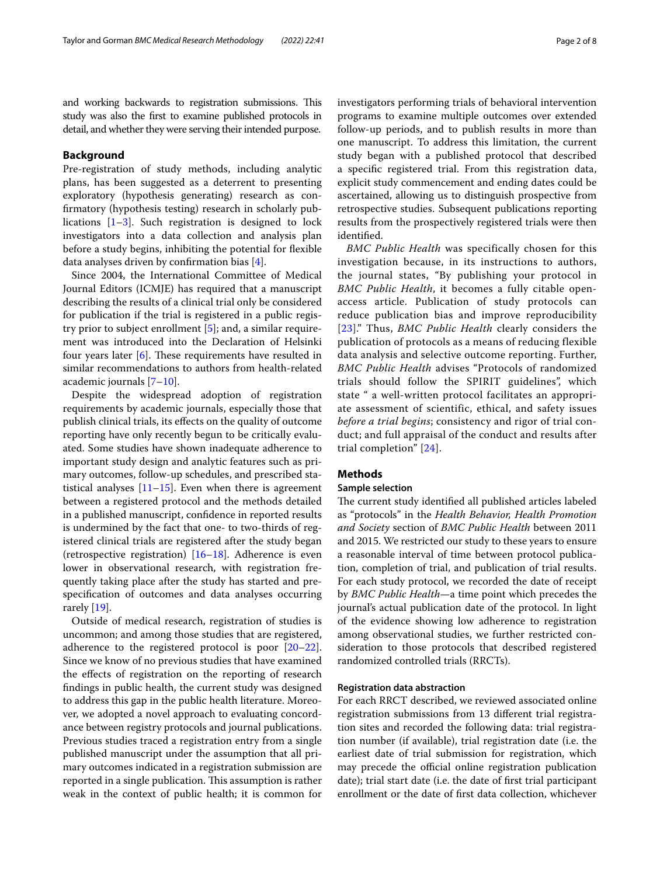and working backwards to registration submissions. This study was also the frst to examine published protocols in detail, and whether they were serving their intended purpose.

#### **Background**

Pre-registration of study methods, including analytic plans, has been suggested as a deterrent to presenting exploratory (hypothesis generating) research as confrmatory (hypothesis testing) research in scholarly publications [[1–](#page-7-0)[3\]](#page-7-1). Such registration is designed to lock investigators into a data collection and analysis plan before a study begins, inhibiting the potential for fexible data analyses driven by confrmation bias [\[4](#page-7-2)].

Since 2004, the International Committee of Medical Journal Editors (ICMJE) has required that a manuscript describing the results of a clinical trial only be considered for publication if the trial is registered in a public registry prior to subject enrollment [\[5](#page-7-3)]; and, a similar requirement was introduced into the Declaration of Helsinki four years later  $[6]$  $[6]$ . These requirements have resulted in similar recommendations to authors from health-related academic journals [\[7](#page-7-5)–[10\]](#page-7-6).

Despite the widespread adoption of registration requirements by academic journals, especially those that publish clinical trials, its efects on the quality of outcome reporting have only recently begun to be critically evaluated. Some studies have shown inadequate adherence to important study design and analytic features such as primary outcomes, follow-up schedules, and prescribed statistical analyses  $[11–15]$  $[11–15]$ . Even when there is agreement between a registered protocol and the methods detailed in a published manuscript, confdence in reported results is undermined by the fact that one- to two-thirds of registered clinical trials are registered after the study began (retrospective registration) [\[16–](#page-7-9)[18\]](#page-7-10). Adherence is even lower in observational research, with registration frequently taking place after the study has started and prespecifcation of outcomes and data analyses occurring rarely [[19](#page-7-11)].

Outside of medical research, registration of studies is uncommon; and among those studies that are registered, adherence to the registered protocol is poor  $[20-22]$  $[20-22]$  $[20-22]$ . Since we know of no previous studies that have examined the efects of registration on the reporting of research fndings in public health, the current study was designed to address this gap in the public health literature. Moreover, we adopted a novel approach to evaluating concordance between registry protocols and journal publications. Previous studies traced a registration entry from a single published manuscript under the assumption that all primary outcomes indicated in a registration submission are reported in a single publication. This assumption is rather weak in the context of public health; it is common for investigators performing trials of behavioral intervention programs to examine multiple outcomes over extended follow-up periods, and to publish results in more than one manuscript. To address this limitation, the current study began with a published protocol that described a specifc registered trial. From this registration data, explicit study commencement and ending dates could be ascertained, allowing us to distinguish prospective from retrospective studies. Subsequent publications reporting results from the prospectively registered trials were then identifed.

*BMC Public Health* was specifically chosen for this investigation because, in its instructions to authors, the journal states, "By publishing your protocol in *BMC Public Health*, it becomes a fully citable openaccess article. Publication of study protocols can reduce publication bias and improve reproducibility [[23](#page-7-14)]." Thus, *BMC Public Health* clearly considers the publication of protocols as a means of reducing flexible data analysis and selective outcome reporting. Further, *BMC Public Health* advises "Protocols of randomized trials should follow the SPIRIT guidelines", which state " a well-written protocol facilitates an appropriate assessment of scientific, ethical, and safety issues *before a trial begins*; consistency and rigor of trial conduct; and full appraisal of the conduct and results after trial completion" [[24\]](#page-7-15).

#### **Methods**

#### **Sample selection**

The current study identified all published articles labeled as "protocols" in the *Health Behavior, Health Promotion and Society* section of *BMC Public Health* between 2011 and 2015. We restricted our study to these years to ensure a reasonable interval of time between protocol publication, completion of trial, and publication of trial results. For each study protocol, we recorded the date of receipt by *BMC Public Health*—a time point which precedes the journal's actual publication date of the protocol. In light of the evidence showing low adherence to registration among observational studies, we further restricted consideration to those protocols that described registered randomized controlled trials (RRCTs).

#### **Registration data abstraction**

For each RRCT described, we reviewed associated online registration submissions from 13 diferent trial registration sites and recorded the following data: trial registration number (if available), trial registration date (i.e. the earliest date of trial submission for registration, which may precede the official online registration publication date); trial start date (i.e. the date of frst trial participant enrollment or the date of frst data collection, whichever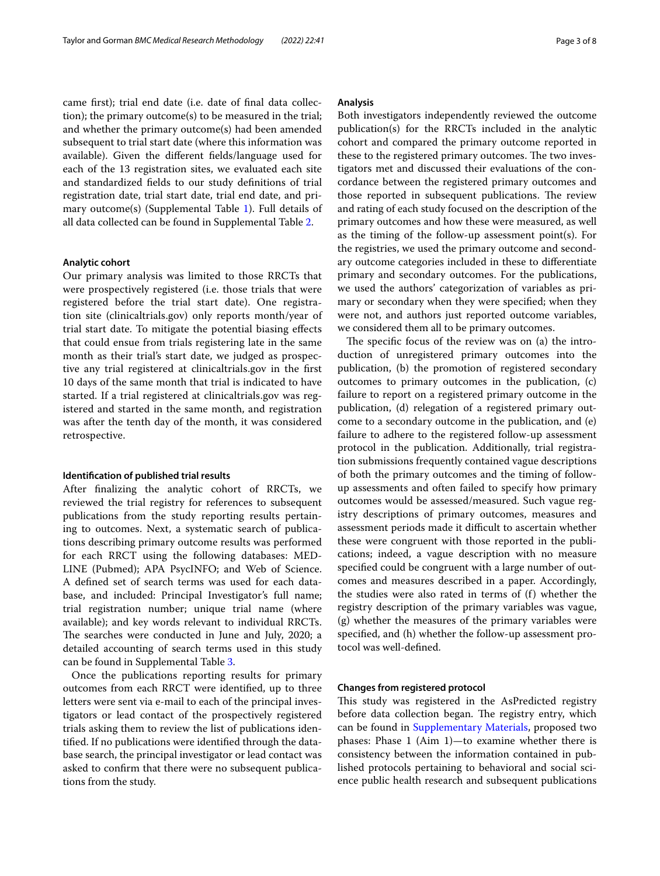came frst); trial end date (i.e. date of fnal data collection); the primary outcome(s) to be measured in the trial; and whether the primary outcome(s) had been amended subsequent to trial start date (where this information was available). Given the diferent felds/language used for each of the 13 registration sites, we evaluated each site and standardized felds to our study defnitions of trial registration date, trial start date, trial end date, and primary outcome(s) (Supplemental Table [1\)](#page-6-0). Full details of all data collected can be found in Supplemental Table [2.](#page-6-0)

#### **Analytic cohort**

Our primary analysis was limited to those RRCTs that were prospectively registered (i.e. those trials that were registered before the trial start date). One registration site (clinicaltrials.gov) only reports month/year of trial start date. To mitigate the potential biasing efects that could ensue from trials registering late in the same month as their trial's start date, we judged as prospective any trial registered at clinicaltrials.gov in the frst 10 days of the same month that trial is indicated to have started. If a trial registered at clinicaltrials.gov was registered and started in the same month, and registration was after the tenth day of the month, it was considered retrospective.

#### **Identifcation of published trial results**

After fnalizing the analytic cohort of RRCTs, we reviewed the trial registry for references to subsequent publications from the study reporting results pertaining to outcomes. Next, a systematic search of publications describing primary outcome results was performed for each RRCT using the following databases: MED-LINE (Pubmed); APA PsycINFO; and Web of Science. A defned set of search terms was used for each database, and included: Principal Investigator's full name; trial registration number; unique trial name (where available); and key words relevant to individual RRCTs. The searches were conducted in June and July, 2020; a detailed accounting of search terms used in this study can be found in Supplemental Table [3](#page-6-0).

Once the publications reporting results for primary outcomes from each RRCT were identifed, up to three letters were sent via e-mail to each of the principal investigators or lead contact of the prospectively registered trials asking them to review the list of publications identifed. If no publications were identifed through the database search, the principal investigator or lead contact was asked to confrm that there were no subsequent publications from the study.

#### **Analysis**

Both investigators independently reviewed the outcome publication(s) for the RRCTs included in the analytic cohort and compared the primary outcome reported in these to the registered primary outcomes. The two investigators met and discussed their evaluations of the concordance between the registered primary outcomes and those reported in subsequent publications. The review and rating of each study focused on the description of the primary outcomes and how these were measured, as well as the timing of the follow-up assessment point(s). For the registries, we used the primary outcome and secondary outcome categories included in these to diferentiate primary and secondary outcomes. For the publications, we used the authors' categorization of variables as primary or secondary when they were specifed; when they were not, and authors just reported outcome variables, we considered them all to be primary outcomes.

The specific focus of the review was on (a) the introduction of unregistered primary outcomes into the publication, (b) the promotion of registered secondary outcomes to primary outcomes in the publication, (c) failure to report on a registered primary outcome in the publication, (d) relegation of a registered primary outcome to a secondary outcome in the publication, and (e) failure to adhere to the registered follow-up assessment protocol in the publication. Additionally, trial registration submissions frequently contained vague descriptions of both the primary outcomes and the timing of followup assessments and often failed to specify how primary outcomes would be assessed/measured. Such vague registry descriptions of primary outcomes, measures and assessment periods made it difficult to ascertain whether these were congruent with those reported in the publications; indeed, a vague description with no measure specifed could be congruent with a large number of outcomes and measures described in a paper. Accordingly, the studies were also rated in terms of (f) whether the registry description of the primary variables was vague, (g) whether the measures of the primary variables were specifed, and (h) whether the follow-up assessment protocol was well-defned.

#### <span id="page-2-0"></span>**Changes from registered protocol**

This study was registered in the AsPredicted registry before data collection began. The registry entry, which can be found in [Supplementary Materials,](#page-6-0) proposed two phases: Phase 1 (Aim 1)—to examine whether there is consistency between the information contained in published protocols pertaining to behavioral and social science public health research and subsequent publications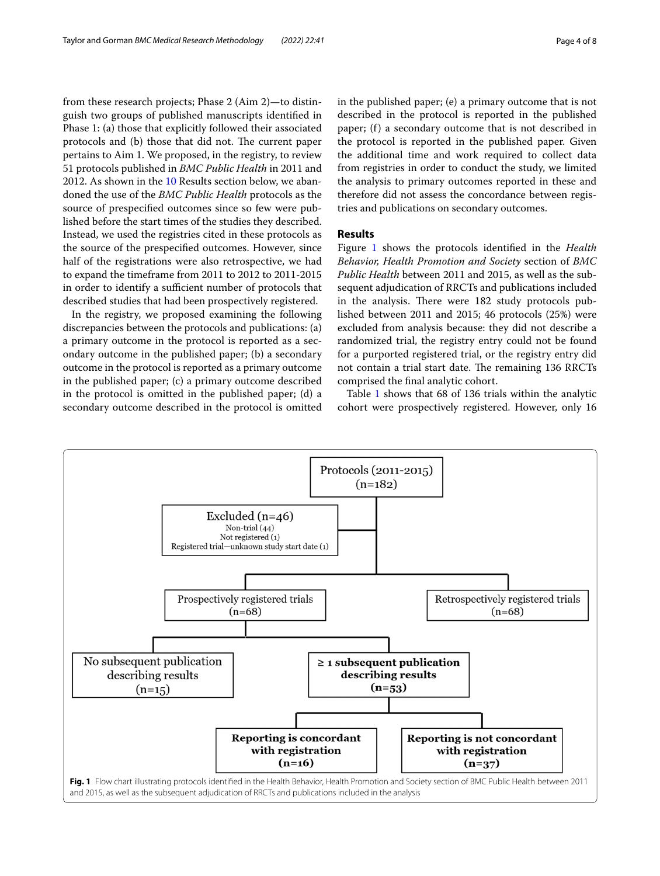from these research projects; Phase 2 (Aim 2)—to distinguish two groups of published manuscripts identifed in Phase 1: (a) those that explicitly followed their associated protocols and (b) those that did not. The current paper pertains to Aim 1. We proposed, in the registry, to review 51 protocols published in *BMC Public Health* in 2011 and 2012. As shown in the [10](#page-2-0) Results section below, we abandoned the use of the *BMC Public Health* protocols as the source of prespecifed outcomes since so few were published before the start times of the studies they described. Instead, we used the registries cited in these protocols as the source of the prespecifed outcomes. However, since half of the registrations were also retrospective, we had to expand the timeframe from 2011 to 2012 to 2011-2015 in order to identify a sufficient number of protocols that described studies that had been prospectively registered.

In the registry, we proposed examining the following discrepancies between the protocols and publications: (a) a primary outcome in the protocol is reported as a secondary outcome in the published paper; (b) a secondary outcome in the protocol is reported as a primary outcome in the published paper; (c) a primary outcome described in the protocol is omitted in the published paper; (d) a secondary outcome described in the protocol is omitted in the published paper; (e) a primary outcome that is not described in the protocol is reported in the published paper; (f) a secondary outcome that is not described in the protocol is reported in the published paper. Given the additional time and work required to collect data from registries in order to conduct the study, we limited the analysis to primary outcomes reported in these and therefore did not assess the concordance between registries and publications on secondary outcomes.

#### **Results**

Figure [1](#page-3-0) shows the protocols identifed in the *Health Behavior, Health Promotion and Society* section of *BMC Public Health* between 2011 and 2015, as well as the subsequent adjudication of RRCTs and publications included in the analysis. There were 182 study protocols published between 2011 and 2015; 46 protocols (25%) were excluded from analysis because: they did not describe a randomized trial, the registry entry could not be found for a purported registered trial, or the registry entry did not contain a trial start date. The remaining 136 RRCTs comprised the fnal analytic cohort.

Table [1](#page-4-0) shows that 68 of 136 trials within the analytic cohort were prospectively registered. However, only 16

<span id="page-3-0"></span>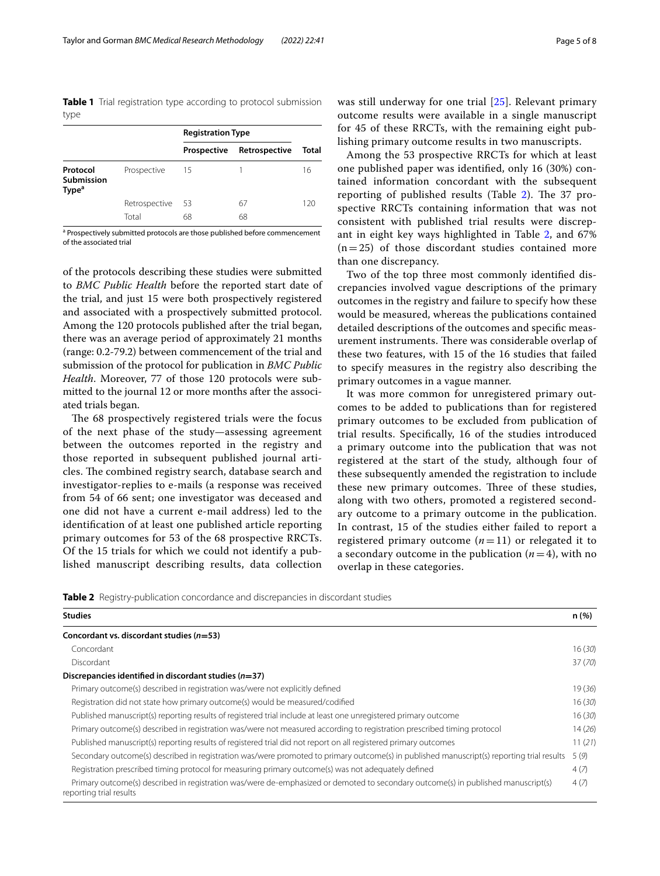<span id="page-4-0"></span>**Table 1** Trial registration type according to protocol submission type

|                                             |               | <b>Registration Type</b> |               |       |
|---------------------------------------------|---------------|--------------------------|---------------|-------|
|                                             |               | Prospective              | Retrospective | Total |
| Protocol<br>Submission<br>Type <sup>a</sup> | Prospective   | 15                       |               | 16    |
|                                             | Retrospective | 53                       | 67            | 120   |
|                                             | Total         | 68                       | 68            |       |

<sup>a</sup> Prospectively submitted protocols are those published before commencement of the associated trial

of the protocols describing these studies were submitted to *BMC Public Health* before the reported start date of the trial, and just 15 were both prospectively registered and associated with a prospectively submitted protocol. Among the 120 protocols published after the trial began, there was an average period of approximately 21 months (range: 0.2-79.2) between commencement of the trial and submission of the protocol for publication in *BMC Public Health*. Moreover, 77 of those 120 protocols were submitted to the journal 12 or more months after the associated trials began.

The 68 prospectively registered trials were the focus of the next phase of the study—assessing agreement between the outcomes reported in the registry and those reported in subsequent published journal articles. The combined registry search, database search and investigator-replies to e-mails (a response was received from 54 of 66 sent; one investigator was deceased and one did not have a current e-mail address) led to the identifcation of at least one published article reporting primary outcomes for 53 of the 68 prospective RRCTs. Of the 15 trials for which we could not identify a published manuscript describing results, data collection was still underway for one trial [[25\]](#page-7-16). Relevant primary outcome results were available in a single manuscript for 45 of these RRCTs, with the remaining eight publishing primary outcome results in two manuscripts.

Among the 53 prospective RRCTs for which at least one published paper was identifed, only 16 (30%) contained information concordant with the subsequent reporting of published results (Table  $2$ ). The 37 prospective RRCTs containing information that was not consistent with published trial results were discrepant in eight key ways highlighted in Table [2](#page-4-1), and 67%  $(n=25)$  of those discordant studies contained more than one discrepancy.

Two of the top three most commonly identifed discrepancies involved vague descriptions of the primary outcomes in the registry and failure to specify how these would be measured, whereas the publications contained detailed descriptions of the outcomes and specifc measurement instruments. There was considerable overlap of these two features, with 15 of the 16 studies that failed to specify measures in the registry also describing the primary outcomes in a vague manner.

It was more common for unregistered primary outcomes to be added to publications than for registered primary outcomes to be excluded from publication of trial results. Specifcally, 16 of the studies introduced a primary outcome into the publication that was not registered at the start of the study, although four of these subsequently amended the registration to include these new primary outcomes. Three of these studies, along with two others, promoted a registered secondary outcome to a primary outcome in the publication. In contrast, 15 of the studies either failed to report a registered primary outcome  $(n=11)$  or relegated it to a secondary outcome in the publication  $(n=4)$ , with no overlap in these categories.

<span id="page-4-1"></span>

| <b>Studies</b>                                                                                                                                               | n (%)   |
|--------------------------------------------------------------------------------------------------------------------------------------------------------------|---------|
| Concordant vs. discordant studies (n=53)                                                                                                                     |         |
| Concordant                                                                                                                                                   | 16(30)  |
| Discordant                                                                                                                                                   | 37 (70) |
| Discrepancies identified in discordant studies $(n=37)$                                                                                                      |         |
| Primary outcome(s) described in registration was/were not explicitly defined                                                                                 | 19(36)  |
| Registration did not state how primary outcome(s) would be measured/codified                                                                                 | 16(30)  |
| Published manuscript(s) reporting results of registered trial include at least one unregistered primary outcome                                              | 16(30)  |
| Primary outcome(s) described in registration was/were not measured according to registration prescribed timing protocol                                      | 14(26)  |
| Published manuscript(s) reporting results of registered trial did not report on all registered primary outcomes                                              | 11(21)  |
| Secondary outcome(s) described in registration was/were promoted to primary outcome(s) in published manuscript(s) reporting trial results                    | 5(9)    |
| Registration prescribed timing protocol for measuring primary outcome(s) was not adequately defined                                                          | 4(7)    |
| Primary outcome(s) described in registration was/were de-emphasized or demoted to secondary outcome(s) in published manuscript(s)<br>reporting trial results | 4(7)    |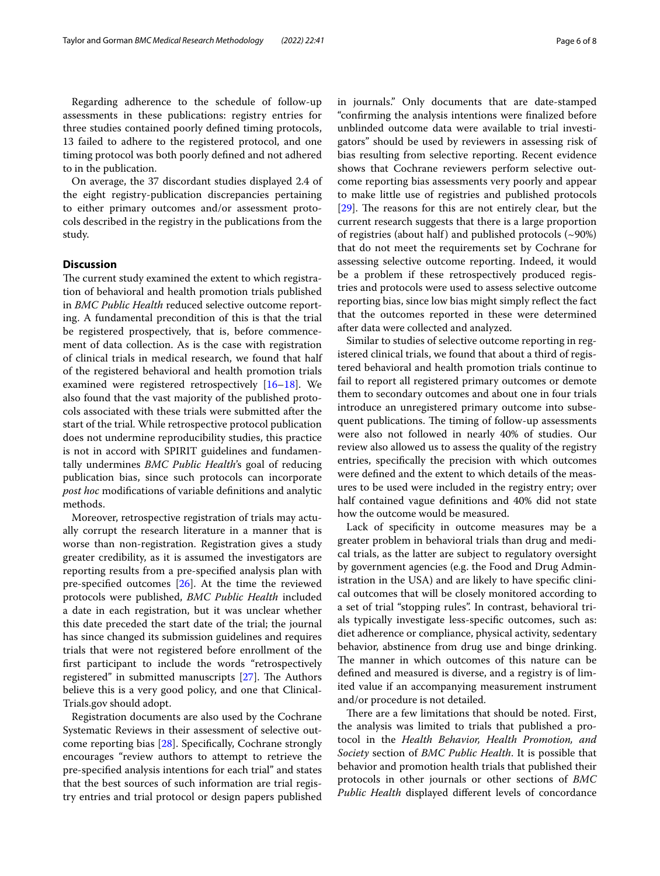Regarding adherence to the schedule of follow-up assessments in these publications: registry entries for three studies contained poorly defned timing protocols, 13 failed to adhere to the registered protocol, and one timing protocol was both poorly defned and not adhered to in the publication.

On average, the 37 discordant studies displayed 2.4 of the eight registry-publication discrepancies pertaining to either primary outcomes and/or assessment protocols described in the registry in the publications from the study.

#### **Discussion**

The current study examined the extent to which registration of behavioral and health promotion trials published in *BMC Public Health* reduced selective outcome reporting. A fundamental precondition of this is that the trial be registered prospectively, that is, before commencement of data collection. As is the case with registration of clinical trials in medical research, we found that half of the registered behavioral and health promotion trials examined were registered retrospectively [[16](#page-7-9)[–18](#page-7-10)]. We also found that the vast majority of the published protocols associated with these trials were submitted after the start of the trial. While retrospective protocol publication does not undermine reproducibility studies, this practice is not in accord with SPIRIT guidelines and fundamentally undermines *BMC Public Health*'s goal of reducing publication bias, since such protocols can incorporate *post hoc* modifcations of variable defnitions and analytic methods.

Moreover, retrospective registration of trials may actually corrupt the research literature in a manner that is worse than non-registration. Registration gives a study greater credibility, as it is assumed the investigators are reporting results from a pre-specifed analysis plan with pre-specifed outcomes [[26\]](#page-7-17). At the time the reviewed protocols were published, *BMC Public Health* included a date in each registration, but it was unclear whether this date preceded the start date of the trial; the journal has since changed its submission guidelines and requires trials that were not registered before enrollment of the frst participant to include the words "retrospectively registered" in submitted manuscripts  $[27]$ . The Authors believe this is a very good policy, and one that Clinical-Trials.gov should adopt.

Registration documents are also used by the Cochrane Systematic Reviews in their assessment of selective outcome reporting bias [[28\]](#page-7-19). Specifcally, Cochrane strongly encourages "review authors to attempt to retrieve the pre-specifed analysis intentions for each trial" and states that the best sources of such information are trial registry entries and trial protocol or design papers published in journals." Only documents that are date-stamped "confrming the analysis intentions were fnalized before unblinded outcome data were available to trial investigators" should be used by reviewers in assessing risk of bias resulting from selective reporting. Recent evidence shows that Cochrane reviewers perform selective outcome reporting bias assessments very poorly and appear to make little use of registries and published protocols  $[29]$  $[29]$ . The reasons for this are not entirely clear, but the current research suggests that there is a large proportion of registries (about half) and published protocols (~90%) that do not meet the requirements set by Cochrane for assessing selective outcome reporting. Indeed, it would be a problem if these retrospectively produced registries and protocols were used to assess selective outcome reporting bias, since low bias might simply refect the fact that the outcomes reported in these were determined after data were collected and analyzed.

Similar to studies of selective outcome reporting in registered clinical trials, we found that about a third of registered behavioral and health promotion trials continue to fail to report all registered primary outcomes or demote them to secondary outcomes and about one in four trials introduce an unregistered primary outcome into subsequent publications. The timing of follow-up assessments were also not followed in nearly 40% of studies. Our review also allowed us to assess the quality of the registry entries, specifcally the precision with which outcomes were defned and the extent to which details of the measures to be used were included in the registry entry; over half contained vague defnitions and 40% did not state how the outcome would be measured.

Lack of specifcity in outcome measures may be a greater problem in behavioral trials than drug and medical trials, as the latter are subject to regulatory oversight by government agencies (e.g. the Food and Drug Administration in the USA) and are likely to have specifc clinical outcomes that will be closely monitored according to a set of trial "stopping rules". In contrast, behavioral trials typically investigate less-specifc outcomes, such as: diet adherence or compliance, physical activity, sedentary behavior, abstinence from drug use and binge drinking. The manner in which outcomes of this nature can be defned and measured is diverse, and a registry is of limited value if an accompanying measurement instrument and/or procedure is not detailed.

There are a few limitations that should be noted. First, the analysis was limited to trials that published a protocol in the *Health Behavior, Health Promotion, and Society* section of *BMC Public Health*. It is possible that behavior and promotion health trials that published their protocols in other journals or other sections of *BMC Public Health* displayed diferent levels of concordance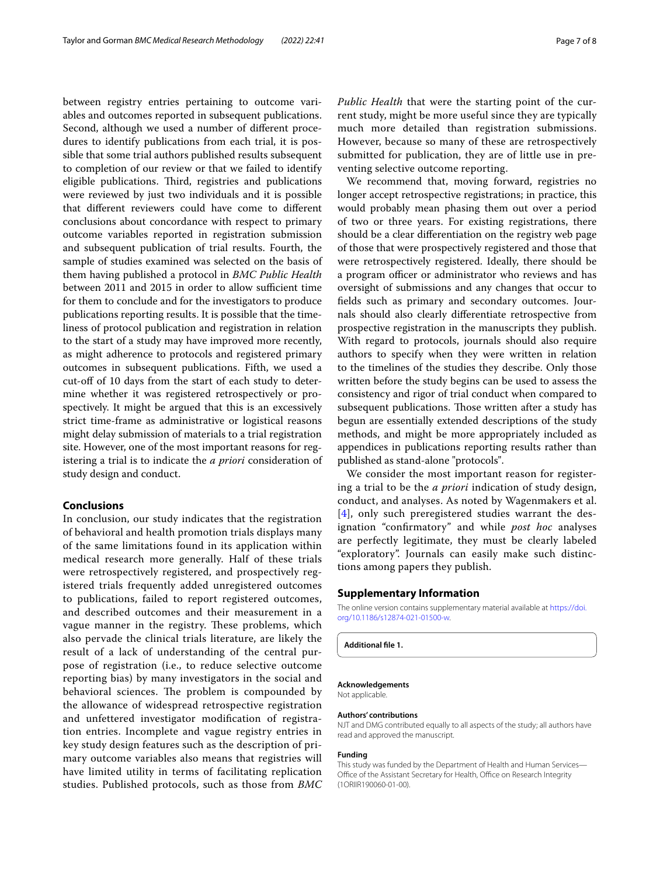between registry entries pertaining to outcome variables and outcomes reported in subsequent publications. Second, although we used a number of diferent procedures to identify publications from each trial, it is possible that some trial authors published results subsequent to completion of our review or that we failed to identify eligible publications. Third, registries and publications were reviewed by just two individuals and it is possible that diferent reviewers could have come to diferent conclusions about concordance with respect to primary outcome variables reported in registration submission and subsequent publication of trial results. Fourth, the sample of studies examined was selected on the basis of them having published a protocol in *BMC Public Health* between 2011 and 2015 in order to allow sufficient time for them to conclude and for the investigators to produce publications reporting results. It is possible that the timeliness of protocol publication and registration in relation to the start of a study may have improved more recently, as might adherence to protocols and registered primary outcomes in subsequent publications. Fifth, we used a cut-of of 10 days from the start of each study to determine whether it was registered retrospectively or prospectively. It might be argued that this is an excessively strict time-frame as administrative or logistical reasons might delay submission of materials to a trial registration site. However, one of the most important reasons for registering a trial is to indicate the *a priori* consideration of study design and conduct.

#### **Conclusions**

In conclusion, our study indicates that the registration of behavioral and health promotion trials displays many of the same limitations found in its application within medical research more generally. Half of these trials were retrospectively registered, and prospectively registered trials frequently added unregistered outcomes to publications, failed to report registered outcomes, and described outcomes and their measurement in a vague manner in the registry. These problems, which also pervade the clinical trials literature, are likely the result of a lack of understanding of the central purpose of registration (i.e., to reduce selective outcome reporting bias) by many investigators in the social and behavioral sciences. The problem is compounded by the allowance of widespread retrospective registration and unfettered investigator modifcation of registration entries. Incomplete and vague registry entries in key study design features such as the description of primary outcome variables also means that registries will have limited utility in terms of facilitating replication studies. Published protocols, such as those from *BMC*  *Public Health* that were the starting point of the current study, might be more useful since they are typically much more detailed than registration submissions. However, because so many of these are retrospectively submitted for publication, they are of little use in preventing selective outcome reporting.

We recommend that, moving forward, registries no longer accept retrospective registrations; in practice, this would probably mean phasing them out over a period of two or three years. For existing registrations, there should be a clear diferentiation on the registry web page of those that were prospectively registered and those that were retrospectively registered. Ideally, there should be a program officer or administrator who reviews and has oversight of submissions and any changes that occur to felds such as primary and secondary outcomes. Journals should also clearly diferentiate retrospective from prospective registration in the manuscripts they publish. With regard to protocols, journals should also require authors to specify when they were written in relation to the timelines of the studies they describe. Only those written before the study begins can be used to assess the consistency and rigor of trial conduct when compared to subsequent publications. Those written after a study has begun are essentially extended descriptions of the study methods, and might be more appropriately included as appendices in publications reporting results rather than published as stand-alone "protocols".

We consider the most important reason for registering a trial to be the *a priori* indication of study design, conduct, and analyses. As noted by Wagenmakers et al. [[4](#page-7-2)], only such preregistered studies warrant the designation "confrmatory" and while *post hoc* analyses are perfectly legitimate, they must be clearly labeled "exploratory". Journals can easily make such distinctions among papers they publish.

#### **Supplementary Information**

The online version contains supplementary material available at [https://doi.](https://doi.org/10.1186/s12874-021-01500-w) [org/10.1186/s12874-021-01500-w.](https://doi.org/10.1186/s12874-021-01500-w)

<span id="page-6-0"></span>**Additional fle 1.**

#### **Acknowledgements**

Not applicable.

#### **Authors' contributions**

NJT and DMG contributed equally to all aspects of the study; all authors have read and approved the manuscript.

#### **Funding**

This study was funded by the Department of Health and Human Services— Office of the Assistant Secretary for Health, Office on Research Integrity (1ORIIR190060-01-00).